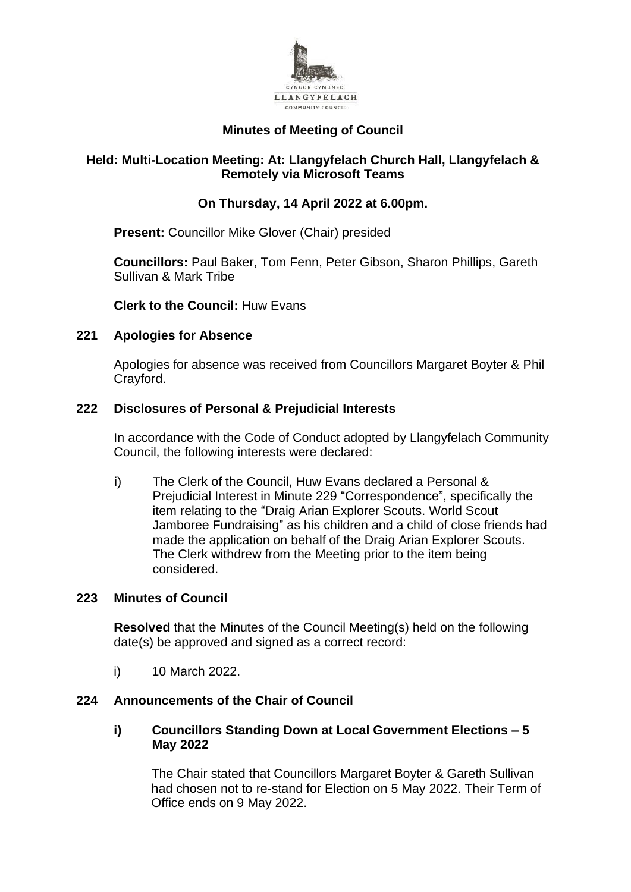

# **Minutes of Meeting of Council**

## **Held: Multi-Location Meeting: At: Llangyfelach Church Hall, Llangyfelach & Remotely via Microsoft Teams**

# **On Thursday, 14 April 2022 at 6.00pm.**

**Present:** Councillor Mike Glover (Chair) presided

**Councillors:** Paul Baker, Tom Fenn, Peter Gibson, Sharon Phillips, Gareth Sullivan & Mark Tribe

**Clerk to the Council:** Huw Evans

## **221 Apologies for Absence**

Apologies for absence was received from Councillors Margaret Boyter & Phil Crayford.

## **222 Disclosures of Personal & Prejudicial Interests**

In accordance with the Code of Conduct adopted by Llangyfelach Community Council, the following interests were declared:

i) The Clerk of the Council, Huw Evans declared a Personal & Prejudicial Interest in Minute 229 "Correspondence", specifically the item relating to the "Draig Arian Explorer Scouts. World Scout Jamboree Fundraising" as his children and a child of close friends had made the application on behalf of the Draig Arian Explorer Scouts. The Clerk withdrew from the Meeting prior to the item being considered.

## **223 Minutes of Council**

**Resolved** that the Minutes of the Council Meeting(s) held on the following date(s) be approved and signed as a correct record:

i) 10 March 2022.

## **224 Announcements of the Chair of Council**

#### **i) Councillors Standing Down at Local Government Elections – 5 May 2022**

The Chair stated that Councillors Margaret Boyter & Gareth Sullivan had chosen not to re-stand for Election on 5 May 2022. Their Term of Office ends on 9 May 2022.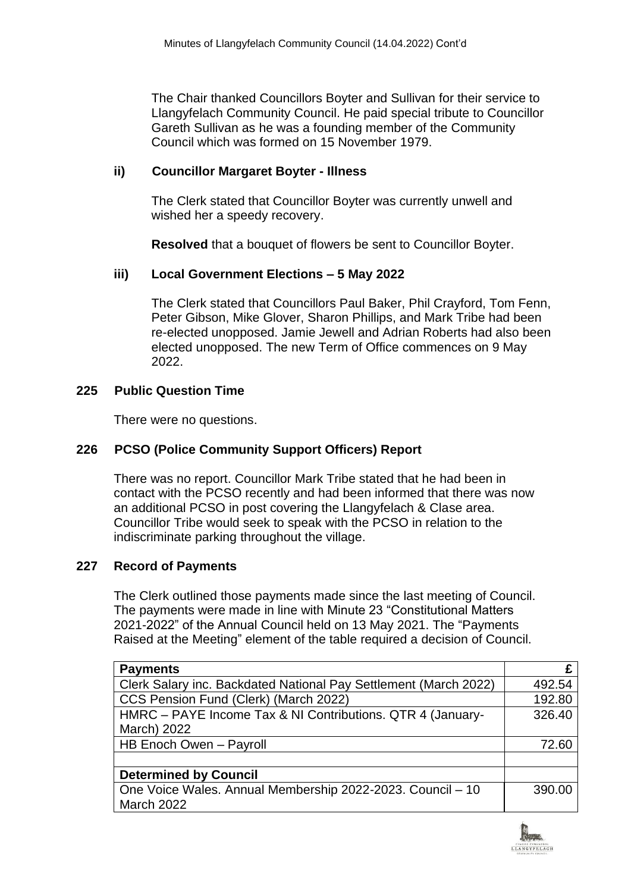The Chair thanked Councillors Boyter and Sullivan for their service to Llangyfelach Community Council. He paid special tribute to Councillor Gareth Sullivan as he was a founding member of the Community Council which was formed on 15 November 1979.

# **ii) Councillor Margaret Boyter - Illness**

The Clerk stated that Councillor Boyter was currently unwell and wished her a speedy recovery.

**Resolved** that a bouquet of flowers be sent to Councillor Boyter.

## **iii) Local Government Elections – 5 May 2022**

The Clerk stated that Councillors Paul Baker, Phil Crayford, Tom Fenn, Peter Gibson, Mike Glover, Sharon Phillips, and Mark Tribe had been re-elected unopposed. Jamie Jewell and Adrian Roberts had also been elected unopposed. The new Term of Office commences on 9 May 2022.

#### **225 Public Question Time**

There were no questions.

## **226 PCSO (Police Community Support Officers) Report**

There was no report. Councillor Mark Tribe stated that he had been in contact with the PCSO recently and had been informed that there was now an additional PCSO in post covering the Llangyfelach & Clase area. Councillor Tribe would seek to speak with the PCSO in relation to the indiscriminate parking throughout the village.

## **227 Record of Payments**

The Clerk outlined those payments made since the last meeting of Council. The payments were made in line with Minute 23 "Constitutional Matters 2021-2022" of the Annual Council held on 13 May 2021. The "Payments Raised at the Meeting" element of the table required a decision of Council.

| <b>Payments</b>                                                  |        |
|------------------------------------------------------------------|--------|
| Clerk Salary inc. Backdated National Pay Settlement (March 2022) | 492.54 |
| CCS Pension Fund (Clerk) (March 2022)                            | 192.80 |
| HMRC - PAYE Income Tax & NI Contributions. QTR 4 (January-       | 326.40 |
| March) 2022                                                      |        |
| HB Enoch Owen - Payroll                                          | 72.60  |
|                                                                  |        |
| <b>Determined by Council</b>                                     |        |
| One Voice Wales. Annual Membership 2022-2023. Council - 10       | 390.00 |
| <b>March 2022</b>                                                |        |

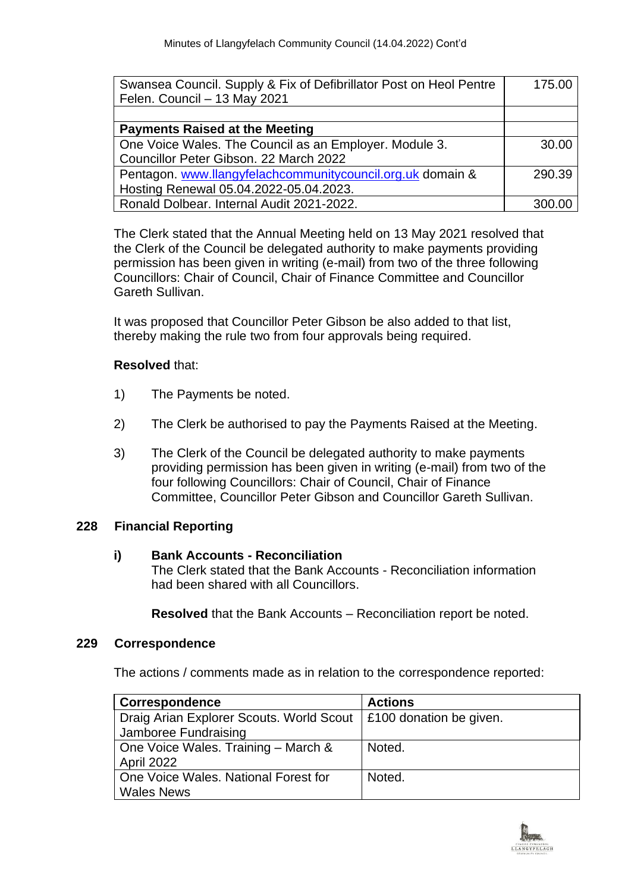| Swansea Council. Supply & Fix of Defibrillator Post on Heol Pentre | 175.00 |
|--------------------------------------------------------------------|--------|
| Felen. Council - 13 May 2021                                       |        |
|                                                                    |        |
| <b>Payments Raised at the Meeting</b>                              |        |
| One Voice Wales. The Council as an Employer. Module 3.             | 30.00  |
| Councillor Peter Gibson. 22 March 2022                             |        |
| Pentagon. www.llangyfelachcommunitycouncil.org.uk domain &         | 290.39 |
| Hosting Renewal 05.04.2022-05.04.2023.                             |        |
| Ronald Dolbear. Internal Audit 2021-2022.                          | 300.00 |

The Clerk stated that the Annual Meeting held on 13 May 2021 resolved that the Clerk of the Council be delegated authority to make payments providing permission has been given in writing (e-mail) from two of the three following Councillors: Chair of Council, Chair of Finance Committee and Councillor Gareth Sullivan.

It was proposed that Councillor Peter Gibson be also added to that list, thereby making the rule two from four approvals being required.

# **Resolved** that:

- 1) The Payments be noted.
- 2) The Clerk be authorised to pay the Payments Raised at the Meeting.
- 3) The Clerk of the Council be delegated authority to make payments providing permission has been given in writing (e-mail) from two of the four following Councillors: Chair of Council, Chair of Finance Committee, Councillor Peter Gibson and Councillor Gareth Sullivan.

## **228 Financial Reporting**

## **i) Bank Accounts - Reconciliation**

The Clerk stated that the Bank Accounts - Reconciliation information had been shared with all Councillors.

**Resolved** that the Bank Accounts – Reconciliation report be noted.

#### **229 Correspondence**

The actions / comments made as in relation to the correspondence reported:

| <b>Correspondence</b>                                            | <b>Actions</b>          |
|------------------------------------------------------------------|-------------------------|
| Draig Arian Explorer Scouts. World Scout<br>Jamboree Fundraising | £100 donation be given. |
| One Voice Wales. Training - March &                              | Noted.                  |
| <b>April 2022</b>                                                |                         |
| One Voice Wales, National Forest for                             | Noted.                  |
| <b>Wales News</b>                                                |                         |

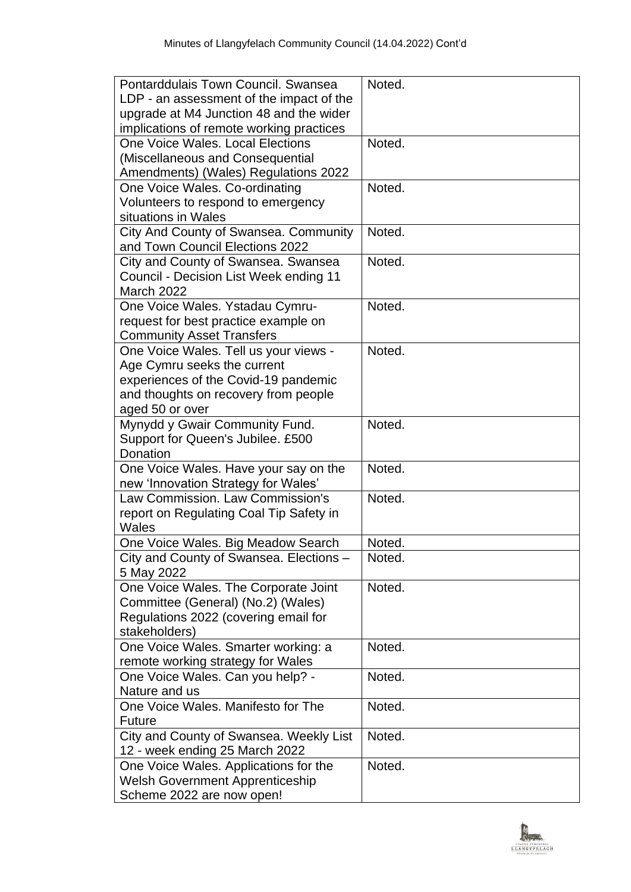| upgrade at M4 Junction 48 and the wider<br>implications of remote working practices<br>One Voice Wales, Local Elections<br>Noted.<br>(Miscellaneous and Consequential<br>Amendments) (Wales) Regulations 2022<br>One Voice Wales. Co-ordinating<br>Noted.<br>Volunteers to respond to emergency<br>situations in Wales<br>City And County of Swansea. Community<br>Noted.<br>and Town Council Elections 2022<br>City and County of Swansea. Swansea<br>Noted.<br>Council - Decision List Week ending 11<br><b>March 2022</b><br>Noted.<br>One Voice Wales. Ystadau Cymru-<br>request for best practice example on<br><b>Community Asset Transfers</b><br>Noted.<br>One Voice Wales. Tell us your views -<br>Age Cymru seeks the current<br>experiences of the Covid-19 pandemic<br>and thoughts on recovery from people<br>aged 50 or over<br>Mynydd y Gwair Community Fund.<br>Noted.<br>Support for Queen's Jubilee. £500<br>Donation<br>Noted.<br>One Voice Wales. Have your say on the<br>new 'Innovation Strategy for Wales'<br>Law Commission, Law Commission's<br>Noted.<br>report on Regulating Coal Tip Safety in<br>Wales<br>One Voice Wales. Big Meadow Search<br>Noted.<br>Noted.<br>City and County of Swansea. Elections -<br>5 May 2022<br>One Voice Wales. The Corporate Joint<br>Noted.<br>Committee (General) (No.2) (Wales)<br>Regulations 2022 (covering email for<br>stakeholders)<br>One Voice Wales. Smarter working: a<br>Noted.<br>remote working strategy for Wales<br>One Voice Wales. Can you help? -<br>Noted.<br>Nature and us<br>One Voice Wales. Manifesto for The<br>Noted.<br><b>Future</b><br>City and County of Swansea. Weekly List<br>Noted.<br>12 - week ending 25 March 2022<br>One Voice Wales. Applications for the<br>Noted.<br><b>Welsh Government Apprenticeship</b><br>Scheme 2022 are now open! | Pontarddulais Town Council, Swansea      | Noted. |
|------------------------------------------------------------------------------------------------------------------------------------------------------------------------------------------------------------------------------------------------------------------------------------------------------------------------------------------------------------------------------------------------------------------------------------------------------------------------------------------------------------------------------------------------------------------------------------------------------------------------------------------------------------------------------------------------------------------------------------------------------------------------------------------------------------------------------------------------------------------------------------------------------------------------------------------------------------------------------------------------------------------------------------------------------------------------------------------------------------------------------------------------------------------------------------------------------------------------------------------------------------------------------------------------------------------------------------------------------------------------------------------------------------------------------------------------------------------------------------------------------------------------------------------------------------------------------------------------------------------------------------------------------------------------------------------------------------------------------------------------------------------------------------------------------------------------------------------------|------------------------------------------|--------|
|                                                                                                                                                                                                                                                                                                                                                                                                                                                                                                                                                                                                                                                                                                                                                                                                                                                                                                                                                                                                                                                                                                                                                                                                                                                                                                                                                                                                                                                                                                                                                                                                                                                                                                                                                                                                                                                | LDP - an assessment of the impact of the |        |
|                                                                                                                                                                                                                                                                                                                                                                                                                                                                                                                                                                                                                                                                                                                                                                                                                                                                                                                                                                                                                                                                                                                                                                                                                                                                                                                                                                                                                                                                                                                                                                                                                                                                                                                                                                                                                                                |                                          |        |
|                                                                                                                                                                                                                                                                                                                                                                                                                                                                                                                                                                                                                                                                                                                                                                                                                                                                                                                                                                                                                                                                                                                                                                                                                                                                                                                                                                                                                                                                                                                                                                                                                                                                                                                                                                                                                                                |                                          |        |
|                                                                                                                                                                                                                                                                                                                                                                                                                                                                                                                                                                                                                                                                                                                                                                                                                                                                                                                                                                                                                                                                                                                                                                                                                                                                                                                                                                                                                                                                                                                                                                                                                                                                                                                                                                                                                                                |                                          |        |
|                                                                                                                                                                                                                                                                                                                                                                                                                                                                                                                                                                                                                                                                                                                                                                                                                                                                                                                                                                                                                                                                                                                                                                                                                                                                                                                                                                                                                                                                                                                                                                                                                                                                                                                                                                                                                                                |                                          |        |
|                                                                                                                                                                                                                                                                                                                                                                                                                                                                                                                                                                                                                                                                                                                                                                                                                                                                                                                                                                                                                                                                                                                                                                                                                                                                                                                                                                                                                                                                                                                                                                                                                                                                                                                                                                                                                                                |                                          |        |
|                                                                                                                                                                                                                                                                                                                                                                                                                                                                                                                                                                                                                                                                                                                                                                                                                                                                                                                                                                                                                                                                                                                                                                                                                                                                                                                                                                                                                                                                                                                                                                                                                                                                                                                                                                                                                                                |                                          |        |
|                                                                                                                                                                                                                                                                                                                                                                                                                                                                                                                                                                                                                                                                                                                                                                                                                                                                                                                                                                                                                                                                                                                                                                                                                                                                                                                                                                                                                                                                                                                                                                                                                                                                                                                                                                                                                                                |                                          |        |
|                                                                                                                                                                                                                                                                                                                                                                                                                                                                                                                                                                                                                                                                                                                                                                                                                                                                                                                                                                                                                                                                                                                                                                                                                                                                                                                                                                                                                                                                                                                                                                                                                                                                                                                                                                                                                                                |                                          |        |
|                                                                                                                                                                                                                                                                                                                                                                                                                                                                                                                                                                                                                                                                                                                                                                                                                                                                                                                                                                                                                                                                                                                                                                                                                                                                                                                                                                                                                                                                                                                                                                                                                                                                                                                                                                                                                                                |                                          |        |
|                                                                                                                                                                                                                                                                                                                                                                                                                                                                                                                                                                                                                                                                                                                                                                                                                                                                                                                                                                                                                                                                                                                                                                                                                                                                                                                                                                                                                                                                                                                                                                                                                                                                                                                                                                                                                                                |                                          |        |
|                                                                                                                                                                                                                                                                                                                                                                                                                                                                                                                                                                                                                                                                                                                                                                                                                                                                                                                                                                                                                                                                                                                                                                                                                                                                                                                                                                                                                                                                                                                                                                                                                                                                                                                                                                                                                                                |                                          |        |
|                                                                                                                                                                                                                                                                                                                                                                                                                                                                                                                                                                                                                                                                                                                                                                                                                                                                                                                                                                                                                                                                                                                                                                                                                                                                                                                                                                                                                                                                                                                                                                                                                                                                                                                                                                                                                                                |                                          |        |
|                                                                                                                                                                                                                                                                                                                                                                                                                                                                                                                                                                                                                                                                                                                                                                                                                                                                                                                                                                                                                                                                                                                                                                                                                                                                                                                                                                                                                                                                                                                                                                                                                                                                                                                                                                                                                                                |                                          |        |
|                                                                                                                                                                                                                                                                                                                                                                                                                                                                                                                                                                                                                                                                                                                                                                                                                                                                                                                                                                                                                                                                                                                                                                                                                                                                                                                                                                                                                                                                                                                                                                                                                                                                                                                                                                                                                                                |                                          |        |
|                                                                                                                                                                                                                                                                                                                                                                                                                                                                                                                                                                                                                                                                                                                                                                                                                                                                                                                                                                                                                                                                                                                                                                                                                                                                                                                                                                                                                                                                                                                                                                                                                                                                                                                                                                                                                                                |                                          |        |
|                                                                                                                                                                                                                                                                                                                                                                                                                                                                                                                                                                                                                                                                                                                                                                                                                                                                                                                                                                                                                                                                                                                                                                                                                                                                                                                                                                                                                                                                                                                                                                                                                                                                                                                                                                                                                                                |                                          |        |
|                                                                                                                                                                                                                                                                                                                                                                                                                                                                                                                                                                                                                                                                                                                                                                                                                                                                                                                                                                                                                                                                                                                                                                                                                                                                                                                                                                                                                                                                                                                                                                                                                                                                                                                                                                                                                                                |                                          |        |
|                                                                                                                                                                                                                                                                                                                                                                                                                                                                                                                                                                                                                                                                                                                                                                                                                                                                                                                                                                                                                                                                                                                                                                                                                                                                                                                                                                                                                                                                                                                                                                                                                                                                                                                                                                                                                                                |                                          |        |
|                                                                                                                                                                                                                                                                                                                                                                                                                                                                                                                                                                                                                                                                                                                                                                                                                                                                                                                                                                                                                                                                                                                                                                                                                                                                                                                                                                                                                                                                                                                                                                                                                                                                                                                                                                                                                                                |                                          |        |
|                                                                                                                                                                                                                                                                                                                                                                                                                                                                                                                                                                                                                                                                                                                                                                                                                                                                                                                                                                                                                                                                                                                                                                                                                                                                                                                                                                                                                                                                                                                                                                                                                                                                                                                                                                                                                                                |                                          |        |
|                                                                                                                                                                                                                                                                                                                                                                                                                                                                                                                                                                                                                                                                                                                                                                                                                                                                                                                                                                                                                                                                                                                                                                                                                                                                                                                                                                                                                                                                                                                                                                                                                                                                                                                                                                                                                                                |                                          |        |
|                                                                                                                                                                                                                                                                                                                                                                                                                                                                                                                                                                                                                                                                                                                                                                                                                                                                                                                                                                                                                                                                                                                                                                                                                                                                                                                                                                                                                                                                                                                                                                                                                                                                                                                                                                                                                                                |                                          |        |
|                                                                                                                                                                                                                                                                                                                                                                                                                                                                                                                                                                                                                                                                                                                                                                                                                                                                                                                                                                                                                                                                                                                                                                                                                                                                                                                                                                                                                                                                                                                                                                                                                                                                                                                                                                                                                                                |                                          |        |
|                                                                                                                                                                                                                                                                                                                                                                                                                                                                                                                                                                                                                                                                                                                                                                                                                                                                                                                                                                                                                                                                                                                                                                                                                                                                                                                                                                                                                                                                                                                                                                                                                                                                                                                                                                                                                                                |                                          |        |
|                                                                                                                                                                                                                                                                                                                                                                                                                                                                                                                                                                                                                                                                                                                                                                                                                                                                                                                                                                                                                                                                                                                                                                                                                                                                                                                                                                                                                                                                                                                                                                                                                                                                                                                                                                                                                                                |                                          |        |
|                                                                                                                                                                                                                                                                                                                                                                                                                                                                                                                                                                                                                                                                                                                                                                                                                                                                                                                                                                                                                                                                                                                                                                                                                                                                                                                                                                                                                                                                                                                                                                                                                                                                                                                                                                                                                                                |                                          |        |
|                                                                                                                                                                                                                                                                                                                                                                                                                                                                                                                                                                                                                                                                                                                                                                                                                                                                                                                                                                                                                                                                                                                                                                                                                                                                                                                                                                                                                                                                                                                                                                                                                                                                                                                                                                                                                                                |                                          |        |
|                                                                                                                                                                                                                                                                                                                                                                                                                                                                                                                                                                                                                                                                                                                                                                                                                                                                                                                                                                                                                                                                                                                                                                                                                                                                                                                                                                                                                                                                                                                                                                                                                                                                                                                                                                                                                                                |                                          |        |
|                                                                                                                                                                                                                                                                                                                                                                                                                                                                                                                                                                                                                                                                                                                                                                                                                                                                                                                                                                                                                                                                                                                                                                                                                                                                                                                                                                                                                                                                                                                                                                                                                                                                                                                                                                                                                                                |                                          |        |
|                                                                                                                                                                                                                                                                                                                                                                                                                                                                                                                                                                                                                                                                                                                                                                                                                                                                                                                                                                                                                                                                                                                                                                                                                                                                                                                                                                                                                                                                                                                                                                                                                                                                                                                                                                                                                                                |                                          |        |
|                                                                                                                                                                                                                                                                                                                                                                                                                                                                                                                                                                                                                                                                                                                                                                                                                                                                                                                                                                                                                                                                                                                                                                                                                                                                                                                                                                                                                                                                                                                                                                                                                                                                                                                                                                                                                                                |                                          |        |
|                                                                                                                                                                                                                                                                                                                                                                                                                                                                                                                                                                                                                                                                                                                                                                                                                                                                                                                                                                                                                                                                                                                                                                                                                                                                                                                                                                                                                                                                                                                                                                                                                                                                                                                                                                                                                                                |                                          |        |
|                                                                                                                                                                                                                                                                                                                                                                                                                                                                                                                                                                                                                                                                                                                                                                                                                                                                                                                                                                                                                                                                                                                                                                                                                                                                                                                                                                                                                                                                                                                                                                                                                                                                                                                                                                                                                                                |                                          |        |
|                                                                                                                                                                                                                                                                                                                                                                                                                                                                                                                                                                                                                                                                                                                                                                                                                                                                                                                                                                                                                                                                                                                                                                                                                                                                                                                                                                                                                                                                                                                                                                                                                                                                                                                                                                                                                                                |                                          |        |
|                                                                                                                                                                                                                                                                                                                                                                                                                                                                                                                                                                                                                                                                                                                                                                                                                                                                                                                                                                                                                                                                                                                                                                                                                                                                                                                                                                                                                                                                                                                                                                                                                                                                                                                                                                                                                                                |                                          |        |
|                                                                                                                                                                                                                                                                                                                                                                                                                                                                                                                                                                                                                                                                                                                                                                                                                                                                                                                                                                                                                                                                                                                                                                                                                                                                                                                                                                                                                                                                                                                                                                                                                                                                                                                                                                                                                                                |                                          |        |
|                                                                                                                                                                                                                                                                                                                                                                                                                                                                                                                                                                                                                                                                                                                                                                                                                                                                                                                                                                                                                                                                                                                                                                                                                                                                                                                                                                                                                                                                                                                                                                                                                                                                                                                                                                                                                                                |                                          |        |
|                                                                                                                                                                                                                                                                                                                                                                                                                                                                                                                                                                                                                                                                                                                                                                                                                                                                                                                                                                                                                                                                                                                                                                                                                                                                                                                                                                                                                                                                                                                                                                                                                                                                                                                                                                                                                                                |                                          |        |
|                                                                                                                                                                                                                                                                                                                                                                                                                                                                                                                                                                                                                                                                                                                                                                                                                                                                                                                                                                                                                                                                                                                                                                                                                                                                                                                                                                                                                                                                                                                                                                                                                                                                                                                                                                                                                                                |                                          |        |
|                                                                                                                                                                                                                                                                                                                                                                                                                                                                                                                                                                                                                                                                                                                                                                                                                                                                                                                                                                                                                                                                                                                                                                                                                                                                                                                                                                                                                                                                                                                                                                                                                                                                                                                                                                                                                                                |                                          |        |
|                                                                                                                                                                                                                                                                                                                                                                                                                                                                                                                                                                                                                                                                                                                                                                                                                                                                                                                                                                                                                                                                                                                                                                                                                                                                                                                                                                                                                                                                                                                                                                                                                                                                                                                                                                                                                                                |                                          |        |
|                                                                                                                                                                                                                                                                                                                                                                                                                                                                                                                                                                                                                                                                                                                                                                                                                                                                                                                                                                                                                                                                                                                                                                                                                                                                                                                                                                                                                                                                                                                                                                                                                                                                                                                                                                                                                                                |                                          |        |
|                                                                                                                                                                                                                                                                                                                                                                                                                                                                                                                                                                                                                                                                                                                                                                                                                                                                                                                                                                                                                                                                                                                                                                                                                                                                                                                                                                                                                                                                                                                                                                                                                                                                                                                                                                                                                                                |                                          |        |
|                                                                                                                                                                                                                                                                                                                                                                                                                                                                                                                                                                                                                                                                                                                                                                                                                                                                                                                                                                                                                                                                                                                                                                                                                                                                                                                                                                                                                                                                                                                                                                                                                                                                                                                                                                                                                                                |                                          |        |
|                                                                                                                                                                                                                                                                                                                                                                                                                                                                                                                                                                                                                                                                                                                                                                                                                                                                                                                                                                                                                                                                                                                                                                                                                                                                                                                                                                                                                                                                                                                                                                                                                                                                                                                                                                                                                                                |                                          |        |
|                                                                                                                                                                                                                                                                                                                                                                                                                                                                                                                                                                                                                                                                                                                                                                                                                                                                                                                                                                                                                                                                                                                                                                                                                                                                                                                                                                                                                                                                                                                                                                                                                                                                                                                                                                                                                                                |                                          |        |
|                                                                                                                                                                                                                                                                                                                                                                                                                                                                                                                                                                                                                                                                                                                                                                                                                                                                                                                                                                                                                                                                                                                                                                                                                                                                                                                                                                                                                                                                                                                                                                                                                                                                                                                                                                                                                                                |                                          |        |

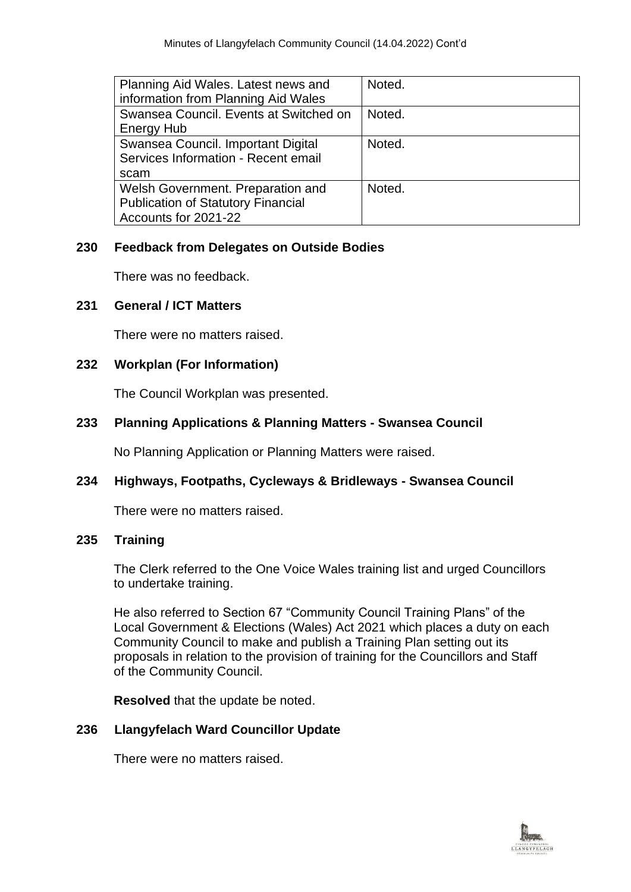| Planning Aid Wales. Latest news and       | Noted. |
|-------------------------------------------|--------|
| information from Planning Aid Wales       |        |
| Swansea Council. Events at Switched on    | Noted. |
| <b>Energy Hub</b>                         |        |
| Swansea Council. Important Digital        | Noted. |
| Services Information - Recent email       |        |
| scam                                      |        |
| Welsh Government. Preparation and         | Noted. |
| <b>Publication of Statutory Financial</b> |        |
| Accounts for 2021-22                      |        |

#### **230 Feedback from Delegates on Outside Bodies**

There was no feedback.

## **231 General / ICT Matters**

There were no matters raised.

## **232 Workplan (For Information)**

The Council Workplan was presented.

## **233 Planning Applications & Planning Matters - Swansea Council**

No Planning Application or Planning Matters were raised.

# **234 Highways, Footpaths, Cycleways & Bridleways - Swansea Council**

There were no matters raised.

## **235 Training**

The Clerk referred to the One Voice Wales training list and urged Councillors to undertake training.

He also referred to Section 67 "Community Council Training Plans" of the Local Government & Elections (Wales) Act 2021 which places a duty on each Community Council to make and publish a Training Plan setting out its proposals in relation to the provision of training for the Councillors and Staff of the Community Council.

**Resolved** that the update be noted.

## **236 Llangyfelach Ward Councillor Update**

There were no matters raised.

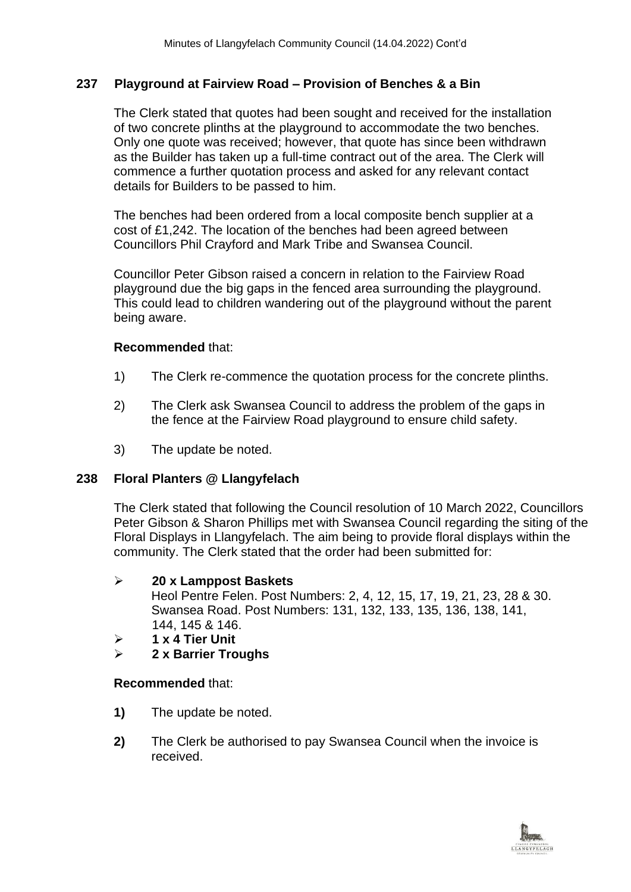# **237 Playground at Fairview Road – Provision of Benches & a Bin**

The Clerk stated that quotes had been sought and received for the installation of two concrete plinths at the playground to accommodate the two benches. Only one quote was received; however, that quote has since been withdrawn as the Builder has taken up a full-time contract out of the area. The Clerk will commence a further quotation process and asked for any relevant contact details for Builders to be passed to him.

The benches had been ordered from a local composite bench supplier at a cost of £1,242. The location of the benches had been agreed between Councillors Phil Crayford and Mark Tribe and Swansea Council.

Councillor Peter Gibson raised a concern in relation to the Fairview Road playground due the big gaps in the fenced area surrounding the playground. This could lead to children wandering out of the playground without the parent being aware.

#### **Recommended** that:

- 1) The Clerk re-commence the quotation process for the concrete plinths.
- 2) The Clerk ask Swansea Council to address the problem of the gaps in the fence at the Fairview Road playground to ensure child safety.
- 3) The update be noted.

## **238 Floral Planters @ Llangyfelach**

The Clerk stated that following the Council resolution of 10 March 2022, Councillors Peter Gibson & Sharon Phillips met with Swansea Council regarding the siting of the Floral Displays in Llangyfelach. The aim being to provide floral displays within the community. The Clerk stated that the order had been submitted for:

## ➢ **20 x Lamppost Baskets**

Heol Pentre Felen. Post Numbers: 2, 4, 12, 15, 17, 19, 21, 23, 28 & 30. Swansea Road. Post Numbers: 131, 132, 133, 135, 136, 138, 141, 144, 145 & 146.

- ➢ **1 x 4 Tier Unit**
- ➢ **2 x Barrier Troughs**

## **Recommended** that:

- **1)** The update be noted.
- **2)** The Clerk be authorised to pay Swansea Council when the invoice is received.

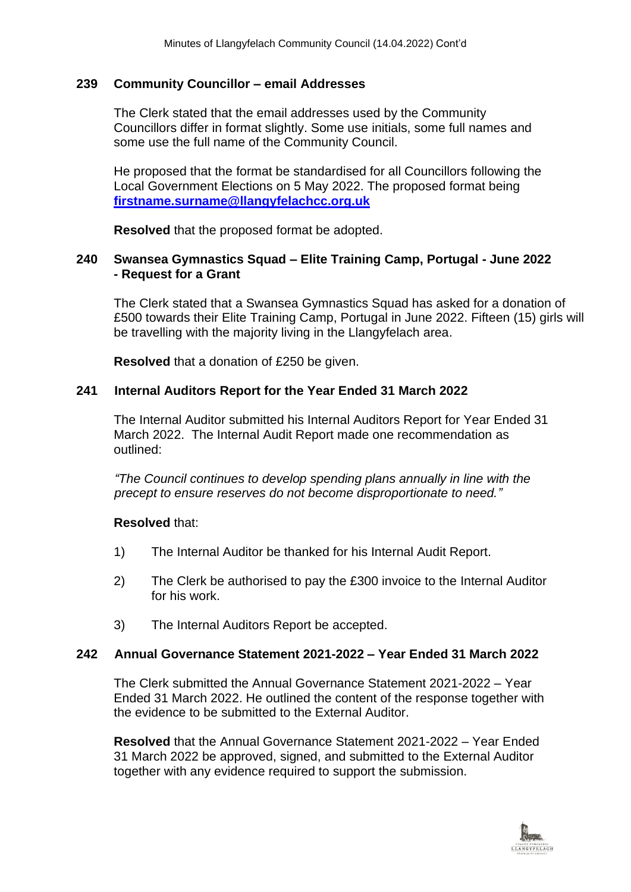#### **239 Community Councillor – email Addresses**

The Clerk stated that the email addresses used by the Community Councillors differ in format slightly. Some use initials, some full names and some use the full name of the Community Council.

He proposed that the format be standardised for all Councillors following the Local Government Elections on 5 May 2022. The proposed format being **[firstname.surname@llangyfelachcc.org.uk](mailto:firstname.surname@llangyfelachcc.org.uk)**

**Resolved** that the proposed format be adopted.

#### **240 Swansea Gymnastics Squad – Elite Training Camp, Portugal - June 2022 - Request for a Grant**

The Clerk stated that a Swansea Gymnastics Squad has asked for a donation of £500 towards their Elite Training Camp, Portugal in June 2022. Fifteen (15) girls will be travelling with the majority living in the Llangyfelach area.

**Resolved** that a donation of £250 be given.

## **241 Internal Auditors Report for the Year Ended 31 March 2022**

The Internal Auditor submitted his Internal Auditors Report for Year Ended 31 March 2022. The Internal Audit Report made one recommendation as outlined:

*"The Council continues to develop spending plans annually in line with the precept to ensure reserves do not become disproportionate to need."*

#### **Resolved** that:

- 1) The Internal Auditor be thanked for his Internal Audit Report.
- 2) The Clerk be authorised to pay the £300 invoice to the Internal Auditor for his work.
- 3) The Internal Auditors Report be accepted.

## **242 Annual Governance Statement 2021-2022 – Year Ended 31 March 2022**

The Clerk submitted the Annual Governance Statement 2021-2022 – Year Ended 31 March 2022. He outlined the content of the response together with the evidence to be submitted to the External Auditor.

**Resolved** that the Annual Governance Statement 2021-2022 – Year Ended 31 March 2022 be approved, signed, and submitted to the External Auditor together with any evidence required to support the submission.